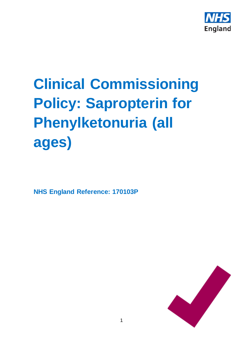

# **Clinical Commissioning Policy: Sapropterin for Phenylketonuria (all ages)**

**NHS England Reference: 170103P**

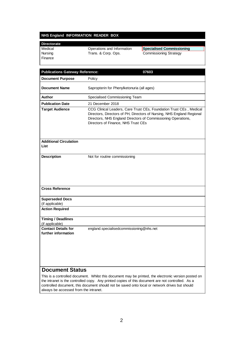#### **NHS England INFORMATION READER BOX**

| <b>Directorate</b> |                            |                               |
|--------------------|----------------------------|-------------------------------|
| Medical            | Operations and Information | Specialised Commissioning     |
| Nursing            | Trans. & Corp. Ops.        | <b>Commissioning Strategy</b> |
| Finance            |                            |                               |
|                    |                            |                               |

| <b>Publications Gateway Reference:</b>                                           | 07603                                                                                                                                                                                                                                                 |
|----------------------------------------------------------------------------------|-------------------------------------------------------------------------------------------------------------------------------------------------------------------------------------------------------------------------------------------------------|
| <b>Document Purpose</b>                                                          | Policy                                                                                                                                                                                                                                                |
| <b>Document Name</b>                                                             | Sapropterin for Phenylketonuria (all ages)                                                                                                                                                                                                            |
| Author                                                                           | Specialised Commissioning Team                                                                                                                                                                                                                        |
| <b>Publication Date</b>                                                          | 21 December 2018                                                                                                                                                                                                                                      |
| <b>Target Audience</b>                                                           | CCG Clinical Leaders, Care Trust CEs, Foundation Trust CEs, Medical<br>Directors, Directors of PH, Directors of Nursing, NHS England Regional<br>Directors, NHS England Directors of Commissioning Operations,<br>Directors of Finance, NHS Trust CEs |
| <b>Additional Circulation</b><br>List                                            |                                                                                                                                                                                                                                                       |
| <b>Description</b>                                                               | Not for routine commissioning                                                                                                                                                                                                                         |
| <b>Cross Reference</b>                                                           |                                                                                                                                                                                                                                                       |
| <b>Superseded Docs</b><br>(if applicable)                                        |                                                                                                                                                                                                                                                       |
| <b>Action Required</b>                                                           |                                                                                                                                                                                                                                                       |
| <b>Timing / Deadlines</b><br>(if applicable)                                     |                                                                                                                                                                                                                                                       |
| <b>Contact Details for</b><br>further information                                | england.specialisedcommissioning@nhs.net                                                                                                                                                                                                              |
| <b>Document Status</b><br>This is a controlled decument. $M$ bilet this decument | he printed the electronic version posts                                                                                                                                                                                                               |

This is a controlled document. Whilst this document may be printed, the electronic version posted on the intranet is the controlled copy. Any printed copies of this document are not controlled. As a controlled document, this document should not be saved onto local or network drives but should always be accessed from the intranet.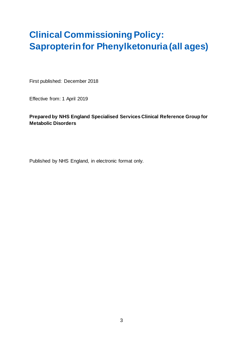## **Clinical Commissioning Policy: Sapropterin for Phenylketonuria (all ages)**

First published: December 2018

Effective from: 1 April 2019

#### **Prepared by NHS England Specialised Services Clinical Reference Group for Metabolic Disorders**

Published by NHS England, in electronic format only.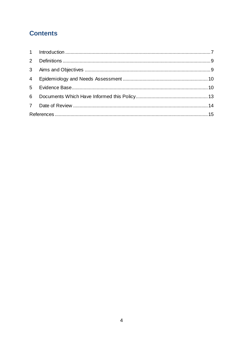## **Contents**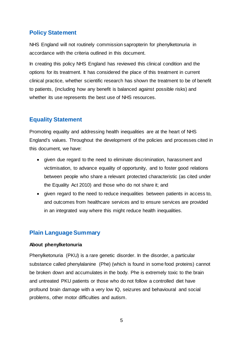#### **Policy Statement**

NHS England will not routinely commission sapropterin for phenylketonuria in accordance with the criteria outlined in this document.

In creating this policy NHS England has reviewed this clinical condition and the options for its treatment. It has considered the place of this treatment in current clinical practice, whether scientific research has shown the treatment to be of benefit to patients, (including how any benefit is balanced against possible risks) and whether its use represents the best use of NHS resources.

## **Equality Statement**

Promoting equality and addressing health inequalities are at the heart of NHS England's values. Throughout the development of the policies and processes cited in this document, we have:

- given due regard to the need to eliminate discrimination, harassment and victimisation, to advance equality of opportunity, and to foster good relations between people who share a relevant protected characteristic (as cited under the Equality Act 2010) and those who do not share it; and
- given regard to the need to reduce inequalities between patients in access to, and outcomes from healthcare services and to ensure services are provided in an integrated way where this might reduce health inequalities.

### **Plain Language Summary**

#### **About phenylketonuria**

Phenylketonuria (PKU) is a rare genetic disorder. In the disorder, a particular substance called phenylalanine (Phe) (which is found in some food proteins) cannot be broken down and accumulates in the body. Phe is extremely toxic to the brain and untreated PKU patients or those who do not follow a controlled diet have profound brain damage with a very low IQ, seizures and behavioural and social problems, other motor difficulties and autism.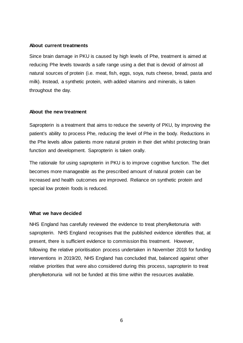#### **About current treatments**

Since brain damage in PKU is caused by high levels of Phe, treatment is aimed at reducing Phe levels towards a safe range using a diet that is devoid of almost all natural sources of protein (i.e. meat, fish, eggs, soya, nuts cheese, bread, pasta and milk). Instead, a synthetic protein, with added vitamins and minerals, is taken throughout the day.

#### **About the new treatment**

Sapropterin is a treatment that aims to reduce the severity of PKU, by improving the patient's ability to process Phe, reducing the level of Phe in the body. Reductions in the Phe levels allow patients more natural protein in their diet whilst protecting brain function and development. Sapropterin is taken orally.

The rationale for using sapropterin in PKU is to improve cognitive function. The diet becomes more manageable as the prescribed amount of natural protein can be increased and health outcomes are improved. Reliance on synthetic protein and special low protein foods is reduced.

#### **What we have decided**

NHS England has carefully reviewed the evidence to treat phenylketonuria with sapropterin. NHS England recognises that the published evidence identifies that, at present, there is sufficient evidence to commission this treatment. However, following the relative prioritisation process undertaken in November 2018 for funding interventions in 2019/20, NHS England has concluded that, balanced against other relative priorities that were also considered during this process, sapropterin to treat phenylketonuria will not be funded at this time within the resources available.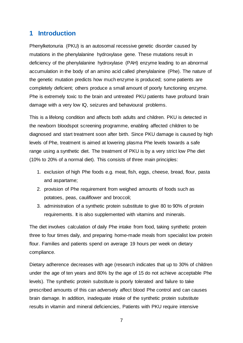## <span id="page-6-0"></span>**1 Introduction**

Phenylketonuria (PKU) is an autosomal recessive genetic disorder caused by mutations in the phenylalanine hydroxylase gene. These mutations result in deficiency of the phenylalanine hydroxylase (PAH) enzyme leading to an abnormal accumulation in the body of an amino acid called phenylalanine (Phe). The nature of the genetic mutation predicts how much enzyme is produced; some patients are completely deficient; others produce a small amount of poorly functioning enzyme. Phe is extremely toxic to the brain and untreated PKU patients have profound brain damage with a very low IQ, seizures and behavioural problems.

This is a lifelong condition and affects both adults and children. PKU is detected in the newborn bloodspot screening programme, enabling affected children to be diagnosed and start treatment soon after birth. Since PKU damage is caused by high levels of Phe, treatment is aimed at lowering plasma Phe levels towards a safe range using a synthetic diet. The treatment of PKU is by a very strict low Phe diet (10% to 20% of a normal diet). This consists of three main principles:

- 1. exclusion of high Phe foods e.g. meat, fish, eggs, cheese, bread, flour, pasta and aspartame;
- 2. provision of Phe requirement from weighed amounts of foods such as potatoes, peas, cauliflower and broccoli;
- 3. administration of a synthetic protein substitute to give 80 to 90% of protein requirements. It is also supplemented with vitamins and minerals.

The diet involves calculation of daily Phe intake from food, taking synthetic protein three to four times daily, and preparing home-made meals from specialist low protein flour. Families and patients spend on average 19 hours per week on dietary compliance.

Dietary adherence decreases with age (research indicates that up to 30% of children under the age of ten years and 80% by the age of 15 do not achieve acceptable Phe levels). The synthetic protein substitute is poorly tolerated and failure to take prescribed amounts of this can adversely affect blood Phe control and can causes brain damage. In addition, inadequate intake of the synthetic protein substitute results in vitamin and mineral deficiencies, Patients with PKU require intensive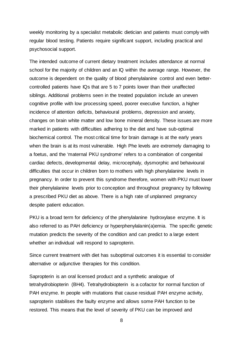weekly monitoring by a specialist metabolic dietician and patients must comply with regular blood testing. Patients require significant support, including practical and psychosocial support.

The intended outcome of current dietary treatment includes attendance at normal school for the majority of children and an IQ within the average range. However, the outcome is dependent on the quality of blood phenylalanine control and even bettercontrolled patients have IQs that are 5 to 7 points lower than their unaffected siblings. Additional problems seen in the treated population include an uneven cognitive profile with low processing speed, poorer executive function, a higher incidence of attention deficits, behavioural problems, depression and anxiety, changes on brain white matter and low bone mineral density. These issues are more marked in patients with difficulties adhering to the diet and have sub-optimal biochemical control. The most critical time for brain damage is at the early years when the brain is at its most vulnerable. High Phe levels are extremely damaging to a foetus, and the 'maternal PKU syndrome' refers to a combination of congenital cardiac defects, developmental delay, microcephaly, dysmorphic and behavioural difficulties that occur in children born to mothers with high phenylalanine levels in pregnancy. In order to prevent this syndrome therefore, women with PKU must lower their phenylalanine levels prior to conception and throughout pregnancy by following a prescribed PKU diet as above. There is a high rate of unplanned pregnancy despite patient education.

PKU is a broad term for deficiency of the phenylalanine hydroxylase enzyme. It is also referred to as PAH deficiency or hyperphenylalanin(a)emia. The specific genetic mutation predicts the severity of the condition and can predict to a large extent whether an individual will respond to sapropterin.

Since current treatment with diet has suboptimal outcomes it is essential to consider alternative or adjunctive therapies for this condition.

Sapropterin is an oral licensed product and a synthetic analogue of tetrahydrobiopterin (BH4). Tetrahydrobiopterin is a cofactor for normal function of PAH enzyme. In people with mutations that cause residual PAH enzyme activity, sapropterin stabilises the faulty enzyme and allows some PAH function to be restored. This means that the level of severity of PKU can be improved and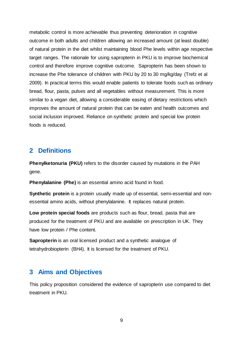metabolic control is more achievable thus preventing deterioration in cognitive outcome in both adults and children allowing an increased amount (at least double) of natural protein in the diet whilst maintaining blood Phe levels within age respective target ranges. The rationale for using sapropterin in PKU is to improve biochemical control and therefore improve cognitive outcome. Sapropterin has been shown to increase the Phe tolerance of children with PKU by 20 to 30 mg/kg/day (Trefz et al 2009). In practical terms this would enable patients to tolerate foods such as ordinary bread, flour, pasta, pulses and all vegetables without measurement. This is more similar to a vegan diet, allowing a considerable easing of dietary restrictions which improves the amount of natural protein that can be eaten and health outcomes and social inclusion improved. Reliance on synthetic protein and special low protein foods is reduced.

### <span id="page-8-0"></span>**2 Definitions**

**Phenylketonuria (PKU)** refers to the disorder caused by mutations in the PAH gene.

**Phenylalanine (Phe)** is an essential amino acid found in food.

**Synthetic protein** is a protein usually made up of essential, semi-essential and nonessential amino acids, without phenylalanine. It replaces natural protein.

**Low protein special foods** are products such as flour, bread, pasta that are produced for the treatment of PKU and are available on prescription in UK. They have low protein / Phe content.

**Sapropterin** is an oral licensed product and a synthetic analogue of tetrahydrobiopterin (BH4). It is licensed for the treatment of PKU.

## <span id="page-8-1"></span>**3 Aims and Objectives**

This policy proposition considered the evidence of sapropterin use compared to diet treatment in PKU.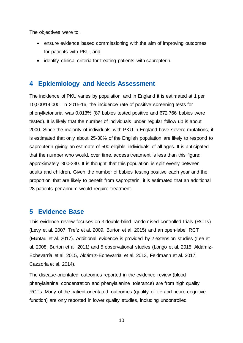The objectives were to:

- ensure evidence based commissioning with the aim of improving outcomes for patients with PKU, and
- identify clinical criteria for treating patients with sapropterin.

## <span id="page-9-0"></span>**4 Epidemiology and Needs Assessment**

The incidence of PKU varies by population and in England it is estimated at 1 per 10,000/14,000. In 2015-16, the incidence rate of positive screening tests for phenylketonuria was 0.013% (87 babies tested positive and 672,766 babies were tested). It is likely that the number of individuals under regular follow up is about 2000. Since the majority of individuals with PKU in England have severe mutations, it is estimated that only about 25-30% of the English population are likely to respond to sapropterin giving an estimate of 500 eligible individuals of all ages. It is anticipated that the number who would, over time, access treatment is less than this figure; approximately 300-330. It is thought that this population is split evenly between adults and children. Given the number of babies testing positive each year and the proportion that are likely to benefit from sapropterin, it is estimated that an additional 28 patients per annum would require treatment.

### <span id="page-9-1"></span>**5 Evidence Base**

This evidence review focuses on 3 double-blind randomised controlled trials (RCTs) (Levy et al. 2007, Trefz et al. 2009, Burton et al. 2015) and an open-label RCT (Muntau et al. 2017). Additional evidence is provided by 2 extension studies (Lee et al. 2008, Burton et al. 2011) and 5 observational studies (Longo et al. 2015, Aldámiz-Echevarría et al. 2015, Aldámiz-Echevarría et al. 2013, Feldmann et al. 2017, Cazzorla et al. 2014).

The disease-orientated outcomes reported in the evidence review (blood phenylalanine concentration and phenylalanine tolerance) are from high quality RCTs. Many of the patient-orientated outcomes (quality of life and neuro-cognitive function) are only reported in lower quality studies, including uncontrolled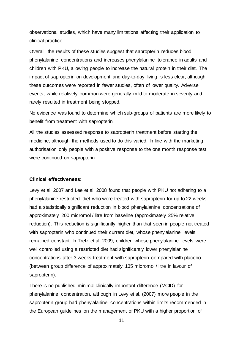observational studies, which have many limitations affecting their application to clinical practice.

Overall, the results of these studies suggest that sapropterin reduces blood phenylalanine concentrations and increases phenylalanine tolerance in adults and children with PKU, allowing people to increase the natural protein in their diet. The impact of sapropterin on development and day-to-day living is less clear, although these outcomes were reported in fewer studies, often of lower quality. Adverse events, while relatively common were generally mild to moderate in severity and rarely resulted in treatment being stopped.

No evidence was found to determine which sub-groups of patients are more likely to benefit from treatment with sapropterin*.* 

All the studies assessed response to sapropterin treatment before starting the medicine, although the methods used to do this varied. In line with the marketing authorisation only people with a positive response to the one month response test were continued on sapropterin*.* 

#### **Clinical effectiveness:**

Levy et al. 2007 and Lee et al. 2008 found that people with PKU not adhering to a phenylalanine-restricted diet who were treated with sapropterin for up to 22 weeks had a statistically significant reduction in blood phenylalanine concentrations of approximately 200 micromol / litre from baseline (approximately 25% relative reduction). This reduction is significantly higher than that seen in people not treated with sapropterin who continued their current diet, whose phenylalanine levels remained constant. In Trefz et al. 2009, children whose phenylalanine levels were well controlled using a restricted diet had significantly lower phenylalanine concentrations after 3 weeks treatment with sapropterin compared with placebo (between group difference of approximately 135 micromol / litre in favour of sapropterin).

There is no published minimal clinically important difference (MCID) for phenylalanine concentration, although in Levy et al. (2007) more people in the sapropterin group had phenylalanine concentrations within limits recommended in the European guidelines on the management of PKU with a higher proportion of

11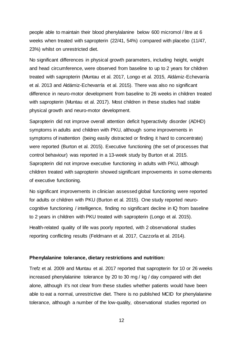people able to maintain their blood phenylalanine below 600 micromol / litre at 6 weeks when treated with sapropterin (22/41, 54%) compared with placebo (11/47, 23%) whilst on unrestricted diet.

No significant differences in physical growth parameters, including height, weight and head circumference, were observed from baseline to up to 2 years for children treated with sapropterin (Muntau et al. 2017, Longo et al. 2015, Aldámiz-Echevarría et al. 2013 and Aldámiz-Echevarría et al. 2015). There was also no significant difference in neuro-motor development from baseline to 26 weeks in children treated with sapropterin (Muntau et al. 2017). Most children in these studies had stable physical growth and neuro-motor development.

Sapropterin did not improve overall attention deficit hyperactivity disorder (ADHD) symptoms in adults and children with PKU, although some improvements in symptoms of inattention (being easily distracted or finding it hard to concentrate) were reported (Burton et al. 2015). Executive functioning (the set of processes that control behaviour) was reported in a 13-week study by Burton et al. 2015. Sapropterin did not improve executive functioning in adults with PKU, although children treated with sapropterin showed significant improvements in some elements of executive functioning.

No significant improvements in clinician assessed global functioning were reported for adults or children with PKU (Burton et al. 2015). One study reported neurocognitive functioning / intelligence, finding no significant decline in IQ from baseline to 2 years in children with PKU treated with sapropterin (Longo et al. 2015).

Health-related quality of life was poorly reported, with 2 observational studies reporting conflicting results (Feldmann et al. 2017, Cazzorla et al. 2014).

#### **Phenylalanine tolerance, dietary restrictions and nutrition:**

Trefz et al. 2009 and Muntau et al. 2017 reported that sapropterin for 10 or 26 weeks increased phenylalanine tolerance by 20 to 30 mg / kg / day compared with diet alone, although it's not clear from these studies whether patients would have been able to eat a normal, unrestrictive diet. There is no published MCID for phenylalanine tolerance, although a number of the low-quality, observational studies reported on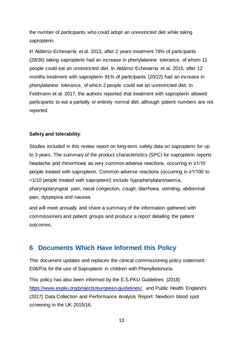the number of participants who could adopt an unrestricted diet while taking sapropterin.

In Aldámiz-Echevarría et al. 2013, after 2 years treatment 78% of participants (28/36) taking sapropterin had an increase in phenylalanine tolerance, of whom 11 people could eat an unrestricted diet. In Aldámiz-Echevarría et al. 2015, after 12 months treatment with sapropterin 91% of participants (20/22) had an increase in phenylalanine tolerance, of which 2 people could eat an unrestricted diet. In Feldmann et al. 2017, the authors reported that treatment with sapropterin allowed participants to eat a partially or entirely normal diet, although patient numbers are not reported.

#### **Safety and tolerability**:

Studies included in this review report on long-term safety data on sapropterin for up to 3 years. The summary of the product characteristics (SPC) for sapropterin reports headache and rhinorrhoea as very common adverse reactions, occurring in ≥1/10 people treated with sapropterin. Common adverse reactions (occurring in ≥1/100 to <1/10 people treated with sapropterin) include hypophenylalaninaemia, pharyngolaryngeal pain, nasal congestion, cough, diarrhoea, vomiting, abdominal pain, dyspepsia and nausea.

and will meet annually and share a summary of the information gathered with commissioners and patient groups and produce a report detailing the patient outcomes.

## <span id="page-12-0"></span>**6 Documents Which Have Informed this Policy**

This document updates and replaces the clinical commissioning policy statement: E06/P/a for the use of Sapropterin in children with Phenylketonuria.

This policy has also been informed by the E.S.PKU Guidelines (2018) [https://www.espku.org/projects/european-guidelines/,](https://www.espku.org/projects/european-guidelines/) and Public Health England's (2017) Data Collection and Performance Analysis Report: Newborn blood spot screening in the UK 2015/16.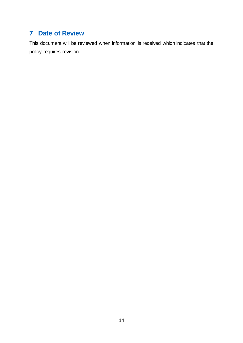## <span id="page-13-0"></span>**7 Date of Review**

This document will be reviewed when information is received which indicates that the policy requires revision.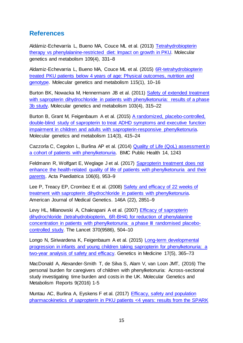## <span id="page-14-0"></span>**References**

Aldámiz-Echevarría L, Bueno MA, Couce ML et al. (2013) [Tetrahydrobiopterin](https://www.sciencedirect.com/science/article/pii/S1096719213001832)  [therapy vs phenylalanine-restricted diet: Impact on growth in PKU.](https://www.sciencedirect.com/science/article/pii/S1096719213001832) Molecular genetics and metabolism 109(4), 331–8

Aldamiz-Echevarria L, Bueno MA, Couce ML et al. (2015) [6R-tetrahydrobiopterin](https://www.sciencedirect.com/science/article/pii/S1096719215000876)  [treated PKU patients below 4 years of age: Physical outcomes, nutrition and](https://www.sciencedirect.com/science/article/pii/S1096719215000876)  [genotype.](https://www.sciencedirect.com/science/article/pii/S1096719215000876) Molecular genetics and metabolism 115(1), 10–16

Burton BK, Nowacka M, Hennermann JB et al. (2011) [Safety of extended treatment](https://www.sciencedirect.com/science/article/pii/S1096719211000965)  with sapropterin dihydrochloride in patients with phenylketonuria: results of a phase [3b study.](https://www.sciencedirect.com/science/article/pii/S1096719211000965) Molecular genetics and metabolism 103(4), 315–22

Burton B, Grant M, Feigenbaum A et al. (2015) [A randomized, placebo-controlled,](https://www.sciencedirect.com/science/article/pii/S1096719214003710)  [double-blind study of sapropterin to treat ADHD symptoms and executive function](https://www.sciencedirect.com/science/article/pii/S1096719214003710)  [impairment in children and adults with sapropterin-responsive phenylketonuria.](https://www.sciencedirect.com/science/article/pii/S1096719214003710)  Molecular genetics and metabolism 114(3), 415–24

Cazzorla C, Cegolon L, Burlina AP et al. (2014) [Quality of Life \(QoL\) assessment in](https://bmcpublichealth.biomedcentral.com/articles/10.1186/1471-2458-14-1243)  [a cohort of patients with phenylketonuria.](https://bmcpublichealth.biomedcentral.com/articles/10.1186/1471-2458-14-1243) BMC Public Health 14, 1243

Feldmann R, Wolfgart E, Weglage J et al. (2017) [Sapropterin treatment does not](https://onlinelibrary.wiley.com/doi/abs/10.1111/apa.13799)  enhance the health-related quality of life of patients with phenylketonuria and their [parents.](https://onlinelibrary.wiley.com/doi/abs/10.1111/apa.13799) Acta Paediatrica 106(6), 953–9

Lee P, Treacy EP, Crombez E et al. (2008) [Safety and efficacy of 22 weeks of](https://onlinelibrary.wiley.com/doi/abs/10.1002/ajmg.a.32562)  [treatment with sapropterin dihydrochloride in patients with phenylketonuria.](https://onlinelibrary.wiley.com/doi/abs/10.1002/ajmg.a.32562)  American Journal of Medical Genetics. 146A (22), 2851–9

Levy HL, Milanowski A, Chakrapani A et al. (2007) Efficacy [of sapropterin](https://www.sciencedirect.com/science/article/pii/S0140673607612343)  [dihydrochloride \(tetrahydrobiopterin, 6R-BH4\) for reduction of phenylalanine](https://www.sciencedirect.com/science/article/pii/S0140673607612343)  [concentration in patients with phenylketonuria: a phase III randomised placebo](https://www.sciencedirect.com/science/article/pii/S0140673607612343)[controlled study.](https://www.sciencedirect.com/science/article/pii/S0140673607612343) The Lancet 370(9586), 504–10

Longo N, Siriwardena K, Feigenbaum A et al. (2015) [Long-term developmental](https://www.nature.com/articles/gim2014109)  [progression in infants and young children taking sapropterin for phenylketonuria: a](https://www.nature.com/articles/gim2014109)  [two-year analysis of safety and efficacy.](https://www.nature.com/articles/gim2014109) Genetics in Medicine 17(5), 365–73

MacDonald A, Alexander-Smith T, de Silva S, Alam V, van Loon JMT, (2016) The personal burden for caregivers of children with phenylketonuria: Across-sectional study investigating time burden and costs in the UK. Molecular Genetics and Metabolism Reports 9(2016) 1-5

Muntau AC, Burlina A, Eyskens F et al. (2017) [Efficacy, safety and population](https://ojrd.biomedcentral.com/articles/10.1186/s13023-017-0600-x)  [pharmacokinetics of sapropterin in PKU patients <4 years: results from the SPARK](https://ojrd.biomedcentral.com/articles/10.1186/s13023-017-0600-x)